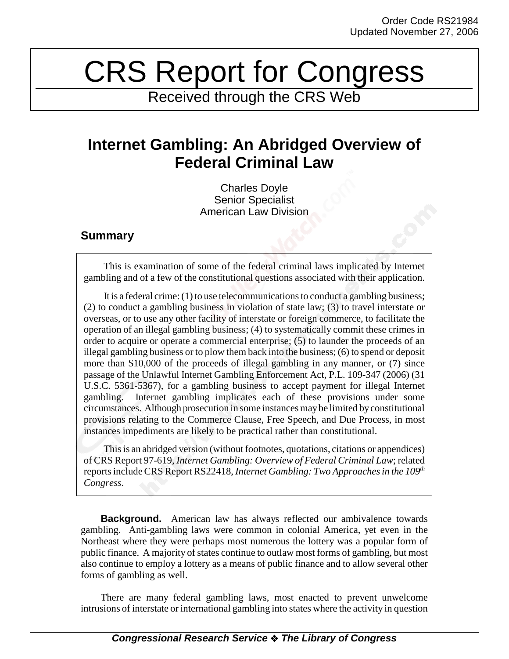## CRS Report for Congress

Received through the CRS Web

## **Internet Gambling: An Abridged Overview of Federal Criminal Law**

Charles Doyle Senior Specialist American Law Division

## **Summary**

This is examination of some of the federal criminal laws implicated by Internet gambling and of a few of the constitutional questions associated with their application.

It is a federal crime: (1) to use telecommunications to conduct a gambling business; (2) to conduct a gambling business in violation of state law; (3) to travel interstate or overseas, or to use any other facility of interstate or foreign commerce, to facilitate the operation of an illegal gambling business; (4) to systematically commit these crimes in order to acquire or operate a commercial enterprise; (5) to launder the proceeds of an illegal gambling business or to plow them back into the business; (6) to spend or deposit more than \$10,000 of the proceeds of illegal gambling in any manner, or (7) since passage of the Unlawful Internet Gambling Enforcement Act, P.L. 109-347 (2006) (31 U.S.C. 5361-5367), for a gambling business to accept payment for illegal Internet gambling. Internet gambling implicates each of these provisions under some circumstances. Although prosecution in some instances may be limited by constitutional provisions relating to the Commerce Clause, Free Speech, and Due Process, in most instances impediments are likely to be practical rather than constitutional.

This is an abridged version (without footnotes, quotations, citations or appendices) of CRS Report 97-619, *Internet Gambling: Overview of Federal Criminal Law*; related reports include CRS Report RS22418, *Internet Gambling: Two Approaches in the 109th Congress*.

**Background.** American law has always reflected our ambivalence towards gambling. Anti-gambling laws were common in colonial America, yet even in the Northeast where they were perhaps most numerous the lottery was a popular form of public finance. A majority of states continue to outlaw most forms of gambling, but most also continue to employ a lottery as a means of public finance and to allow several other forms of gambling as well.

There are many federal gambling laws, most enacted to prevent unwelcome intrusions of interstate or international gambling into states where the activity in question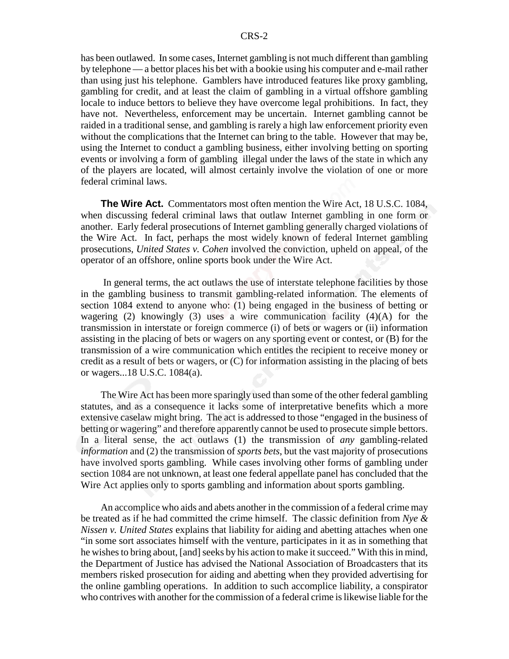has been outlawed. In some cases, Internet gambling is not much different than gambling by telephone — a bettor places his bet with a bookie using his computer and e-mail rather than using just his telephone. Gamblers have introduced features like proxy gambling, gambling for credit, and at least the claim of gambling in a virtual offshore gambling locale to induce bettors to believe they have overcome legal prohibitions. In fact, they have not. Nevertheless, enforcement may be uncertain. Internet gambling cannot be raided in a traditional sense, and gambling is rarely a high law enforcement priority even without the complications that the Internet can bring to the table. However that may be, using the Internet to conduct a gambling business, either involving betting on sporting events or involving a form of gambling illegal under the laws of the state in which any of the players are located, will almost certainly involve the violation of one or more federal criminal laws.

**The Wire Act.** Commentators most often mention the Wire Act, 18 U.S.C. 1084, when discussing federal criminal laws that outlaw Internet gambling in one form or another. Early federal prosecutions of Internet gambling generally charged violations of the Wire Act. In fact, perhaps the most widely known of federal Internet gambling prosecutions, *United States v. Cohen* involved the conviction, upheld on appeal, of the operator of an offshore, online sports book under the Wire Act.

 In general terms, the act outlaws the use of interstate telephone facilities by those in the gambling business to transmit gambling-related information. The elements of section 1084 extend to anyone who: (1) being engaged in the business of betting or wagering (2) knowingly (3) uses a wire communication facility  $(4)(A)$  for the transmission in interstate or foreign commerce (i) of bets or wagers or (ii) information assisting in the placing of bets or wagers on any sporting event or contest, or (B) for the transmission of a wire communication which entitles the recipient to receive money or credit as a result of bets or wagers, or (C) for information assisting in the placing of bets or wagers...18 U.S.C. 1084(a).

The Wire Act has been more sparingly used than some of the other federal gambling statutes, and as a consequence it lacks some of interpretative benefits which a more extensive caselaw might bring. The act is addressed to those "engaged in the business of betting or wagering" and therefore apparently cannot be used to prosecute simple bettors. In a literal sense, the act outlaws (1) the transmission of *any* gambling-related *information* and (2) the transmission of *sports bets*, but the vast majority of prosecutions have involved sports gambling. While cases involving other forms of gambling under section 1084 are not unknown, at least one federal appellate panel has concluded that the Wire Act applies only to sports gambling and information about sports gambling.

An accomplice who aids and abets another in the commission of a federal crime may be treated as if he had committed the crime himself. The classic definition from *Nye & Nissen v. United States* explains that liability for aiding and abetting attaches when one "in some sort associates himself with the venture, participates in it as in something that he wishes to bring about, [and] seeks by his action to make it succeed." With this in mind, the Department of Justice has advised the National Association of Broadcasters that its members risked prosecution for aiding and abetting when they provided advertising for the online gambling operations. In addition to such accomplice liability, a conspirator who contrives with another for the commission of a federal crime is likewise liable for the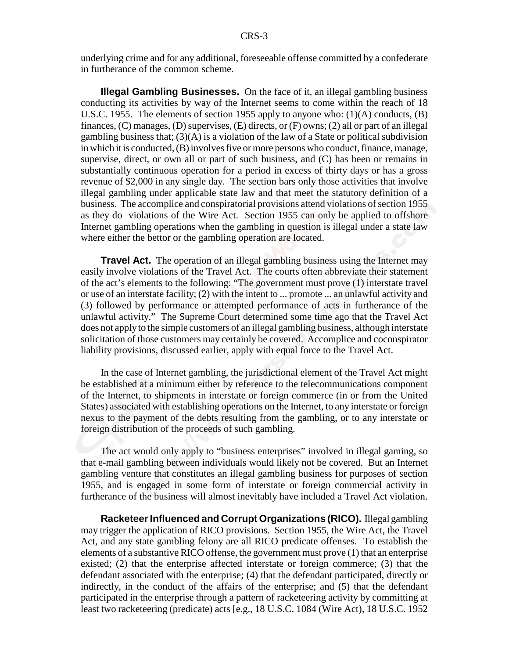underlying crime and for any additional, foreseeable offense committed by a confederate in furtherance of the common scheme.

**Illegal Gambling Businesses.** On the face of it, an illegal gambling business conducting its activities by way of the Internet seems to come within the reach of 18 U.S.C. 1955. The elements of section 1955 apply to anyone who: (1)(A) conducts, (B) finances, (C) manages, (D) supervises, (E) directs, or (F) owns; (2) all or part of an illegal gambling business that;  $(3)(A)$  is a violation of the law of a State or political subdivision in which it is conducted, (B) involves five or more persons who conduct, finance, manage, supervise, direct, or own all or part of such business, and (C) has been or remains in substantially continuous operation for a period in excess of thirty days or has a gross revenue of \$2,000 in any single day. The section bars only those activities that involve illegal gambling under applicable state law and that meet the statutory definition of a business. The accomplice and conspiratorial provisions attend violations of section 1955 as they do violations of the Wire Act. Section 1955 can only be applied to offshore Internet gambling operations when the gambling in question is illegal under a state law where either the bettor or the gambling operation are located.

**Travel Act.** The operation of an illegal gambling business using the Internet may easily involve violations of the Travel Act. The courts often abbreviate their statement of the act's elements to the following: "The government must prove (1) interstate travel or use of an interstate facility; (2) with the intent to ... promote ... an unlawful activity and (3) followed by performance or attempted performance of acts in furtherance of the unlawful activity." The Supreme Court determined some time ago that the Travel Act does not apply to the simple customers of an illegal gambling business, although interstate solicitation of those customers may certainly be covered. Accomplice and coconspirator liability provisions, discussed earlier, apply with equal force to the Travel Act.

In the case of Internet gambling, the jurisdictional element of the Travel Act might be established at a minimum either by reference to the telecommunications component of the Internet, to shipments in interstate or foreign commerce (in or from the United States) associated with establishing operations on the Internet, to any interstate or foreign nexus to the payment of the debts resulting from the gambling, or to any interstate or foreign distribution of the proceeds of such gambling.

The act would only apply to "business enterprises" involved in illegal gaming, so that e-mail gambling between individuals would likely not be covered. But an Internet gambling venture that constitutes an illegal gambling business for purposes of section 1955, and is engaged in some form of interstate or foreign commercial activity in furtherance of the business will almost inevitably have included a Travel Act violation.

**Racketeer Influenced and Corrupt Organizations (RICO).** Illegal gambling may trigger the application of RICO provisions. Section 1955, the Wire Act, the Travel Act, and any state gambling felony are all RICO predicate offenses. To establish the elements of a substantive RICO offense, the government must prove (1) that an enterprise existed; (2) that the enterprise affected interstate or foreign commerce; (3) that the defendant associated with the enterprise; (4) that the defendant participated, directly or indirectly, in the conduct of the affairs of the enterprise; and (5) that the defendant participated in the enterprise through a pattern of racketeering activity by committing at least two racketeering (predicate) acts [e.g., 18 U.S.C. 1084 (Wire Act), 18 U.S.C. 1952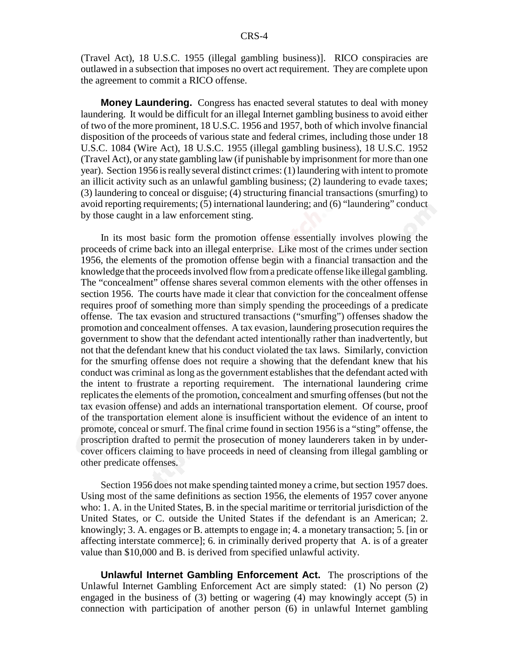(Travel Act), 18 U.S.C. 1955 (illegal gambling business)]. RICO conspiracies are outlawed in a subsection that imposes no overt act requirement. They are complete upon the agreement to commit a RICO offense.

**Money Laundering.** Congress has enacted several statutes to deal with money laundering. It would be difficult for an illegal Internet gambling business to avoid either of two of the more prominent, 18 U.S.C. 1956 and 1957, both of which involve financial disposition of the proceeds of various state and federal crimes, including those under 18 U.S.C. 1084 (Wire Act), 18 U.S.C. 1955 (illegal gambling business), 18 U.S.C. 1952 (Travel Act), or any state gambling law (if punishable by imprisonment for more than one year). Section 1956 is really several distinct crimes: (1) laundering with intent to promote an illicit activity such as an unlawful gambling business; (2) laundering to evade taxes; (3) laundering to conceal or disguise; (4) structuring financial transactions (smurfing) to avoid reporting requirements; (5) international laundering; and (6) "laundering" conduct by those caught in a law enforcement sting.

In its most basic form the promotion offense essentially involves plowing the proceeds of crime back into an illegal enterprise. Like most of the crimes under section 1956, the elements of the promotion offense begin with a financial transaction and the knowledge that the proceeds involved flow from a predicate offense like illegal gambling. The "concealment" offense shares several common elements with the other offenses in section 1956. The courts have made it clear that conviction for the concealment offense requires proof of something more than simply spending the proceedings of a predicate offense. The tax evasion and structured transactions ("smurfing") offenses shadow the promotion and concealment offenses. A tax evasion, laundering prosecution requires the government to show that the defendant acted intentionally rather than inadvertently, but not that the defendant knew that his conduct violated the tax laws. Similarly, conviction for the smurfing offense does not require a showing that the defendant knew that his conduct was criminal as long as the government establishes that the defendant acted with the intent to frustrate a reporting requirement. The international laundering crime replicates the elements of the promotion, concealment and smurfing offenses (but not the tax evasion offense) and adds an international transportation element. Of course, proof of the transportation element alone is insufficient without the evidence of an intent to promote, conceal or smurf. The final crime found in section 1956 is a "sting" offense, the proscription drafted to permit the prosecution of money launderers taken in by undercover officers claiming to have proceeds in need of cleansing from illegal gambling or other predicate offenses.

Section 1956 does not make spending tainted money a crime, but section 1957 does. Using most of the same definitions as section 1956, the elements of 1957 cover anyone who: 1. A. in the United States, B. in the special maritime or territorial jurisdiction of the United States, or C. outside the United States if the defendant is an American; 2. knowingly; 3. A. engages or B. attempts to engage in; 4. a monetary transaction; 5. [in or affecting interstate commerce]; 6. in criminally derived property that A. is of a greater value than \$10,000 and B. is derived from specified unlawful activity.

**Unlawful Internet Gambling Enforcement Act.** The proscriptions of the Unlawful Internet Gambling Enforcement Act are simply stated: (1) No person (2) engaged in the business of (3) betting or wagering (4) may knowingly accept (5) in connection with participation of another person (6) in unlawful Internet gambling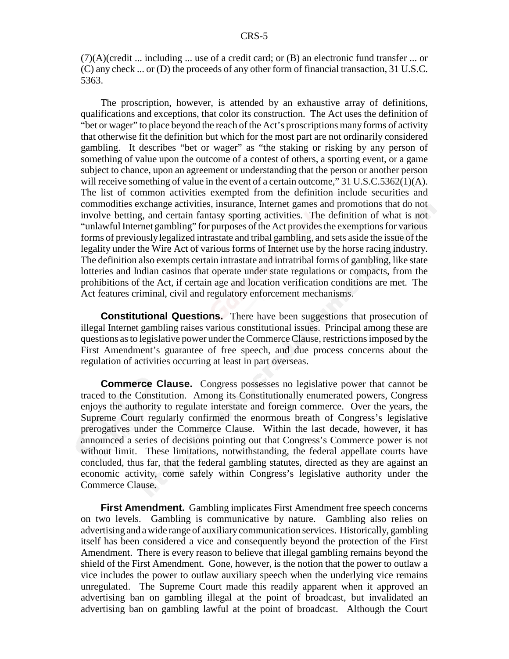$(7)(A)(\text{credit} \dots \text{including} \dots \text{use of a credit card}; \text{or } (B) \text{ an electronic fund transfer} \dots \text{or }$ (C) any check ... or (D) the proceeds of any other form of financial transaction, 31 U.S.C. 5363.

The proscription, however, is attended by an exhaustive array of definitions, qualifications and exceptions, that color its construction. The Act uses the definition of "bet or wager" to place beyond the reach of the Act's proscriptions many forms of activity that otherwise fit the definition but which for the most part are not ordinarily considered gambling. It describes "bet or wager" as "the staking or risking by any person of something of value upon the outcome of a contest of others, a sporting event, or a game subject to chance, upon an agreement or understanding that the person or another person will receive something of value in the event of a certain outcome,"  $31 \text{ U.S. C.5362(1)(A)}$ . The list of common activities exempted from the definition include securities and commodities exchange activities, insurance, Internet games and promotions that do not involve betting, and certain fantasy sporting activities. The definition of what is not "unlawful Internet gambling" for purposes of the Act provides the exemptions for various forms of previously legalized intrastate and tribal gambling, and sets aside the issue of the legality under the Wire Act of various forms of Internet use by the horse racing industry. The definition also exempts certain intrastate and intratribal forms of gambling, like state lotteries and Indian casinos that operate under state regulations or compacts, from the prohibitions of the Act, if certain age and location verification conditions are met. The Act features criminal, civil and regulatory enforcement mechanisms.

**Constitutional Questions.** There have been suggestions that prosecution of illegal Internet gambling raises various constitutional issues. Principal among these are questions as to legislative power under the Commerce Clause, restrictions imposed by the First Amendment's guarantee of free speech, and due process concerns about the regulation of activities occurring at least in part overseas.

**Commerce Clause.** Congress possesses no legislative power that cannot be traced to the Constitution. Among its Constitutionally enumerated powers, Congress enjoys the authority to regulate interstate and foreign commerce. Over the years, the Supreme Court regularly confirmed the enormous breath of Congress's legislative prerogatives under the Commerce Clause. Within the last decade, however, it has announced a series of decisions pointing out that Congress's Commerce power is not without limit. These limitations, notwithstanding, the federal appellate courts have concluded, thus far, that the federal gambling statutes, directed as they are against an economic activity, come safely within Congress's legislative authority under the Commerce Clause.

**First Amendment.** Gambling implicates First Amendment free speech concerns on two levels. Gambling is communicative by nature. Gambling also relies on advertising and a wide range of auxiliary communication services. Historically, gambling itself has been considered a vice and consequently beyond the protection of the First Amendment. There is every reason to believe that illegal gambling remains beyond the shield of the First Amendment. Gone, however, is the notion that the power to outlaw a vice includes the power to outlaw auxiliary speech when the underlying vice remains unregulated. The Supreme Court made this readily apparent when it approved an advertising ban on gambling illegal at the point of broadcast, but invalidated an advertising ban on gambling lawful at the point of broadcast. Although the Court